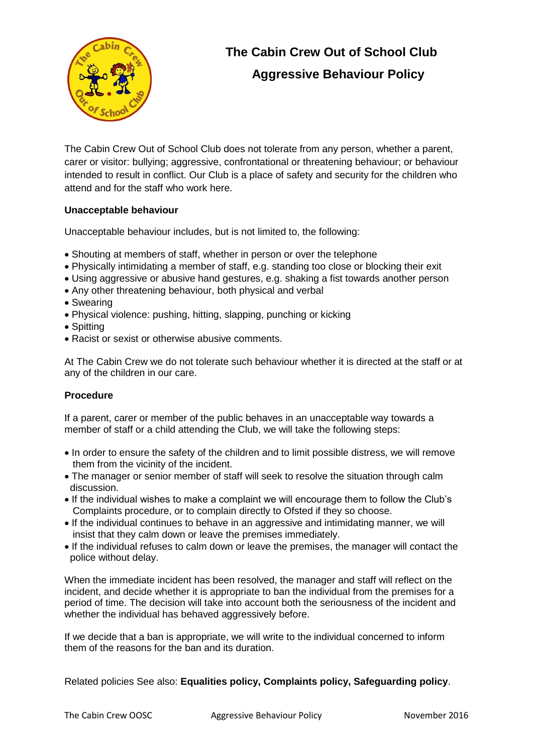

## **The Cabin Crew Out of School Club Aggressive Behaviour Policy**

The Cabin Crew Out of School Club does not tolerate from any person, whether a parent, carer or visitor: bullying; aggressive, confrontational or threatening behaviour; or behaviour intended to result in conflict. Our Club is a place of safety and security for the children who attend and for the staff who work here.

## **Unacceptable behaviour**

Unacceptable behaviour includes, but is not limited to, the following:

- Shouting at members of staff, whether in person or over the telephone
- Physically intimidating a member of staff, e.g. standing too close or blocking their exit
- Using aggressive or abusive hand gestures, e.g. shaking a fist towards another person
- Any other threatening behaviour, both physical and verbal
- Swearing
- Physical violence: pushing, hitting, slapping, punching or kicking
- Spitting
- Racist or sexist or otherwise abusive comments.

At The Cabin Crew we do not tolerate such behaviour whether it is directed at the staff or at any of the children in our care.

## **Procedure**

If a parent, carer or member of the public behaves in an unacceptable way towards a member of staff or a child attending the Club, we will take the following steps:

- In order to ensure the safety of the children and to limit possible distress, we will remove them from the vicinity of the incident.
- The manager or senior member of staff will seek to resolve the situation through calm discussion.
- If the individual wishes to make a complaint we will encourage them to follow the Club's Complaints procedure, or to complain directly to Ofsted if they so choose.
- If the individual continues to behave in an aggressive and intimidating manner, we will insist that they calm down or leave the premises immediately.
- If the individual refuses to calm down or leave the premises, the manager will contact the police without delay.

When the immediate incident has been resolved, the manager and staff will reflect on the incident, and decide whether it is appropriate to ban the individual from the premises for a period of time. The decision will take into account both the seriousness of the incident and whether the individual has behaved aggressively before.

If we decide that a ban is appropriate, we will write to the individual concerned to inform them of the reasons for the ban and its duration.

Related policies See also: **Equalities policy, Complaints policy, Safeguarding policy**.